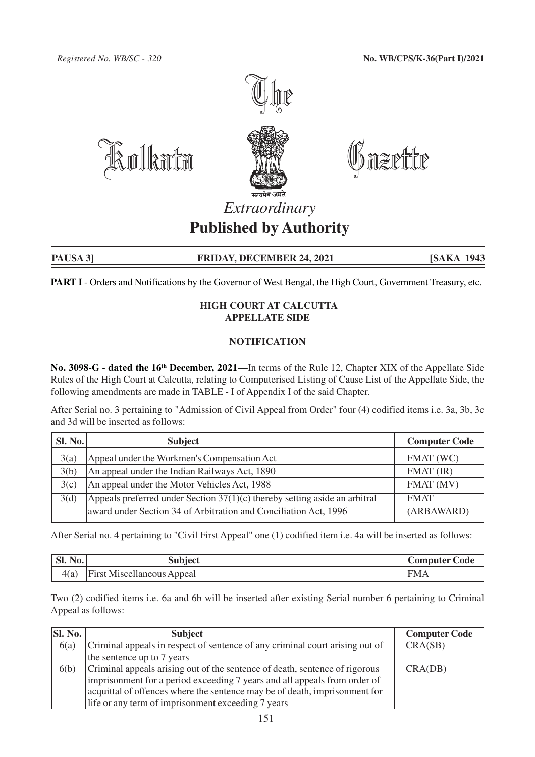

)<br>Dazpite

## *Extraordinary* **Published by Authority**

PAUSA 3] **FRIDAY, DECEMBER 24, 2021** [SAKA 1943

**PART I** - Orders and Notifications by the Governor of West Bengal, the High Court, Government Treasury, etc.

## **HIGH COURT AT CALCUTTA APPELLATE SIDE**

## **NOTIFICATION**

**No. 3098-G - dated the 16th December, 2021**—In terms of the Rule 12, Chapter XIX of the Appellate Side Rules of the High Court at Calcutta, relating to Computerised Listing of Cause List of the Appellate Side, the following amendments are made in TABLE - I of Appendix I of the said Chapter.

After Serial no. 3 pertaining to "Admission of Civil Appeal from Order" four (4) codified items i.e. 3a, 3b, 3c and 3d will be inserted as follows:

| <b>Sl. No.</b> | <b>Subject</b>                                                               | <b>Computer Code</b> |
|----------------|------------------------------------------------------------------------------|----------------------|
| 3(a)           | Appeal under the Workmen's Compensation Act                                  | FMAT (WC)            |
| 3(b)           | An appeal under the Indian Railways Act, 1890                                | $FMAT$ (IR)          |
| 3(c)           | An appeal under the Motor Vehicles Act, 1988                                 | FMAT (MV)            |
| 3(d)           | Appeals preferred under Section $37(1)(c)$ thereby setting aside an arbitral | <b>FMAT</b>          |
|                | award under Section 34 of Arbitration and Conciliation Act, 1996             | (ARBAWARD)           |

After Serial no. 4 pertaining to "Civil First Appeal" one (1) codified item i.e. 4a will be inserted as follows:

| $\mathbf{S}$ l. No. | subject                           | <b>Computer Code</b> |
|---------------------|-----------------------------------|----------------------|
| 4(a)                | <b>First Miscellaneous Appeal</b> | <b>FMA</b>           |

Two (2) codified items i.e. 6a and 6b will be inserted after existing Serial number 6 pertaining to Criminal Appeal as follows:

| <b>SI. No.</b> | <b>Subject</b>                                                               | <b>Computer Code</b> |
|----------------|------------------------------------------------------------------------------|----------------------|
| 6(a)           | Criminal appeals in respect of sentence of any criminal court arising out of | CRA(SB)              |
|                | the sentence up to 7 years                                                   |                      |
| 6(b)           | Criminal appeals arising out of the sentence of death, sentence of rigorous  | CRA(DB)              |
|                | imprisonment for a period exceeding 7 years and all appeals from order of    |                      |
|                | acquittal of offences where the sentence may be of death, imprisonment for   |                      |
|                | life or any term of imprisonment exceeding 7 years                           |                      |